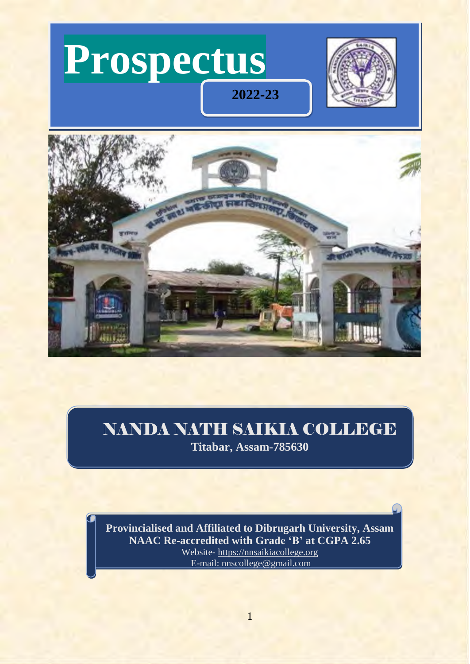



# NANDA NATH SAIKIA COLLEGE

**Titabar, Assam-785630**

**Provincialised and Affiliated to Dibrugarh University, Assam NAAC Re-accredited with Grade 'B' at CGPA 2.65** Website- [https://nnsaikiacollege.org](https://nnsaikiacollege.org/) E-mail: [nnscollege@gmail.com](mailto:nnscollege@gmail.com)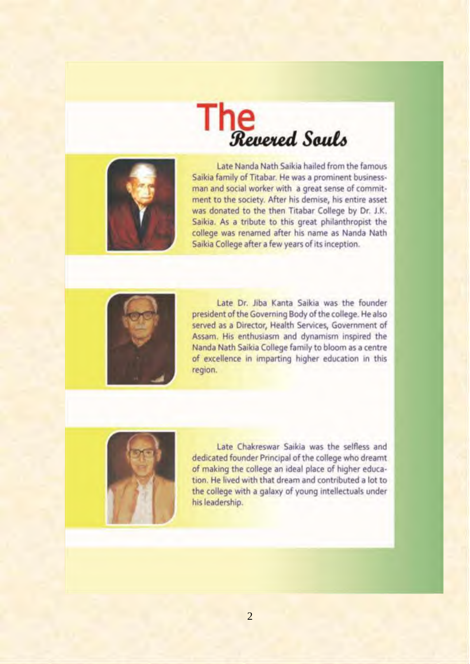



Late Nanda Nath Saikia hailed fromthe famous Saikia family of Titabar. He was a prominent businessman and social worker with a great sense of commitment to the society. After his demise, his entire asset was donated to the then Titabar College by Dr. J.K. Saikia. As a tribute to this great philanthropist the college was renamed after his name as Nanda Nath Saikia College after a few years of its inception.



Late Dr. Jiba Kanta Saikia was the founder president of the Governing Body of the college. He also served as a Director, Health Services, Government of Assam. His enthusiasm and dynamism inspired the Nanda Nath Saikia College family to bloom as a centre of excellence in imparting higher education in this region.



Late Chakreswar Saikia was the selfless and dedicated founder Principal of the college who dreamt of making the college an ideal place of higher education. He lived with that dream and contributed a lot to the college with a galaxy of young intellectuals under hisleadership.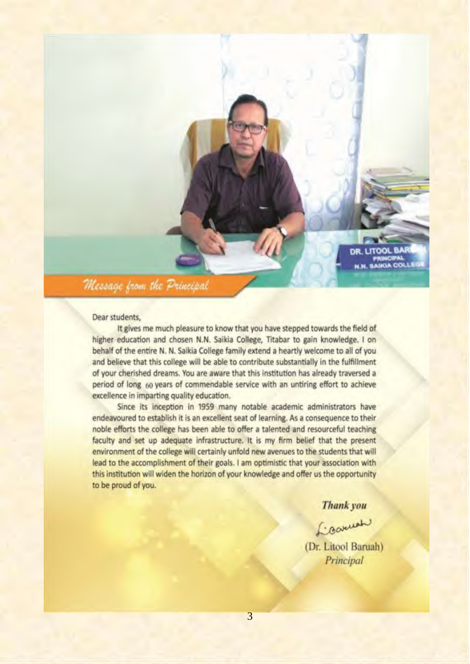DR. LITOOL BAR PRINCIPAL<br>N.N. SAIKIA COLLEO

Message from the Principal

#### Dear students.

It gives me much pleasure to know that you have stepped towards the field of higher education and chosen N.N. Saikia College, Titabar to gain knowledge. I on behalf of the entire N. N, Saikia College family extend a heartly welcome to all of you and believe that this college will be able to contribute substantially in the fulfillment of your cherished dreams. You are aware that this institution has already traversed a period of long 60 years of commendable service with an untiring effort to achieve excellence in imparting quality education.

Since its inception in 1959 many notable academic administrators have endeavoured to establish it is an excellent seat of learning. As a consequence to their noble efforts the college has been able to offer a talented and resourceful teaching faculty and set up adequate infrastructure. It is my firm belief that the present environment of the college will certainly unfold new avenues to the students that will lead to the accomplishment of their goals. <sup>I</sup> am optimistic that your association with this institution will widen the horizon of your knowledge and offer us the opportunity to be proud of you.

Thank you

(Dr. Litool Baruah) Principal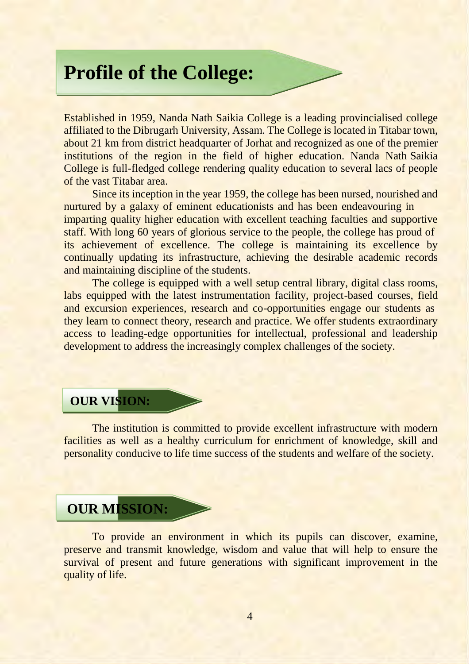# **Profile of the College:**

Established in 1959, Nanda Nath Saikia College is a leading provincialised college affiliated to the Dibrugarh University, Assam. The College is located in Titabar town, about 21 km from district headquarter of Jorhat and recognized as one of the premier institutions of the region in the field of higher education. Nanda Nath Saikia College is full-fledged college rendering quality education to several lacs of people of the vast Titabar area.

Since its inception in the year 1959, the college has been nursed, nourished and nurtured by a galaxy of eminent educationists and has been endeavouring in imparting quality higher education with excellent teaching faculties and supportive staff. With long 60 years of glorious service to the people, the college has proud of its achievement of excellence. The college is maintaining its excellence by continually updating its infrastructure, achieving the desirable academic records and maintaining discipline of the students.

The college is equipped with a well setup central library, digital class rooms, labs equipped with the latest instrumentation facility, project-based courses, field and excursion experiences, research and co-opportunities engage our students as they learn to connect theory, research and practice. We offer students extraordinary access to leading-edge opportunities for intellectual, professional and leadership development to address the increasingly complex challenges of the society.

# **OUR VISION:**

The institution is committed to provide excellent infrastructure with modern facilities as well as a healthy curriculum for enrichment of knowledge, skill and personality conducive to life time success of the students and welfare of the society.

# **OUR MISSION:**

To provide an environment in which its pupils can discover, examine, preserve and transmit knowledge, wisdom and value that will help to ensure the survival of present and future generations with significant improvement in the quality of life.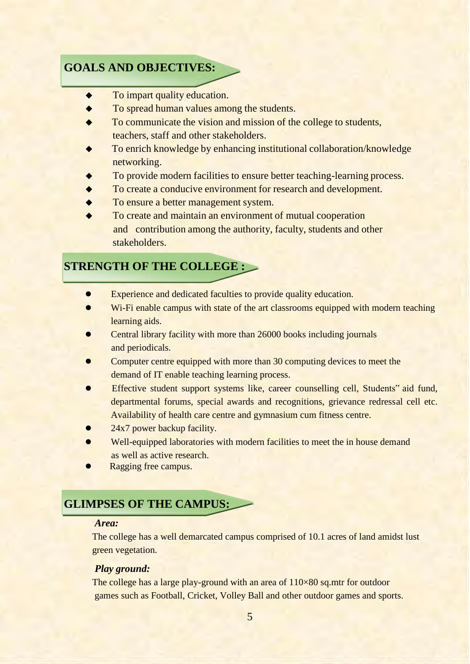# **GOALS AND OBJECTIVES:**

- ◆ To impart quality education.
- ◆ To spread human values among the students.
- To communicate the vision and mission of the college to students, teachers, staff and other stakeholders.
- To enrich knowledge by enhancing institutional collaboration/knowledge networking.
- To provide modern facilities to ensure better teaching-learning process.
- To create a conducive environment for research and development.
- To ensure a better management system.
- To create and maintain an environment of mutual cooperation and contribution among the authority, faculty, students and other stakeholders.

# **STRENGTH OF THE COLLEGE :**

- ⚫ Experience and dedicated faculties to provide quality education.
- Wi-Fi enable campus with state of the art classrooms equipped with modern teaching learning aids.
- Central library facility with more than 26000 books including journals and periodicals.
- ⚫ Computer centre equipped with more than 30 computing devices to meet the demand of IT enable teaching learning process.
- Effective student support systems like, career counselling cell, Students" aid fund, departmental forums, special awards and recognitions, grievance redressal cell etc. Availability of health care centre and gymnasium cum fitness centre.
- $\bullet$  24x7 power backup facility.
- ⚫ Well-equipped laboratories with modern facilities to meet the in house demand as well as active research.
- ⚫ Ragging free campus.

# **GLIMPSES OF THE CAMPUS:**

#### *Area:*

The college has a well demarcated campus comprised of 10.1 acres of land amidst lust green vegetation.

### *Play ground:*

The college has a large play-ground with an area of  $110\times80$  sq.mtr for outdoor games such as Football, Cricket, Volley Ball and other outdoor games and sports.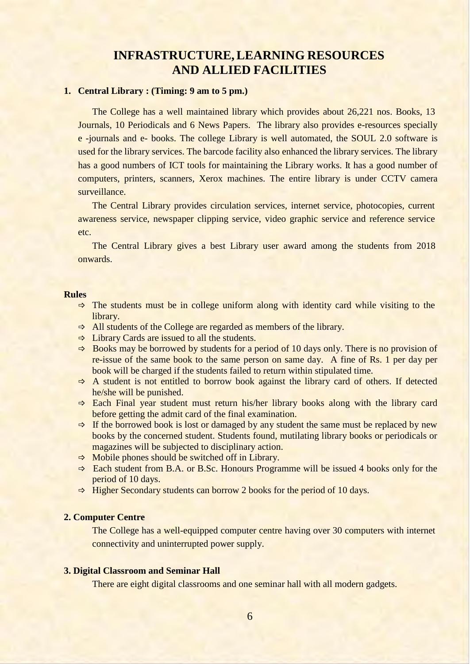# **INFRASTRUCTURE,LEARNING RESOURCES AND ALLIED FACILITIES**

#### **1. Central Library : (Timing: 9 am to 5 pm.)**

The College has a well maintained library which provides about 26,221 nos. Books, 13 Journals, 10 Periodicals and 6 News Papers. The library also provides e-resources specially e -journals and e- books. The college Library is well automated, the SOUL 2.0 software is used for the library services. The barcode facility also enhanced the library services. The library has a good numbers of ICT tools for maintaining the Library works. It has a good number of computers, printers, scanners, Xerox machines. The entire library is under CCTV camera surveillance.

The Central Library provides circulation services, internet service, photocopies, current awareness service, newspaper clipping service, video graphic service and reference service etc.

The Central Library gives a best Library user award among the students from 2018 onwards.

#### **Rules**

- $\Rightarrow$  The students must be in college uniform along with identity card while visiting to the library.
- $\Rightarrow$  All students of the College are regarded as members of the library.
- $\Rightarrow$  Library Cards are issued to all the students.
- $\Rightarrow$  Books may be borrowed by students for a period of 10 days only. There is no provision of re-issue of the same book to the same person on same day. A fine of Rs. 1 per day per book will be charged if the students failed to return within stipulated time.
- $\Rightarrow$  A student is not entitled to borrow book against the library card of others. If detected he/she will be punished.
- $\Rightarrow$  Each Final year student must return his/her library books along with the library card before getting the admit card of the final examination.
- $\Rightarrow$  If the borrowed book is lost or damaged by any student the same must be replaced by new books by the concerned student. Students found, mutilating library books or periodicals or magazines will be subjected to disciplinary action.
- $\Rightarrow$  Mobile phones should be switched off in Library.
- $\Rightarrow$  Each student from B.A. or B.Sc. Honours Programme will be issued 4 books only for the period of 10 days.
- $\Rightarrow$  Higher Secondary students can borrow 2 books for the period of 10 days.

#### **2. Computer Centre**

The College has a well-equipped computer centre having over 30 computers with internet connectivity and uninterrupted power supply.

#### **3. Digital Classroom and Seminar Hall**

There are eight digital classrooms and one seminar hall with all modern gadgets.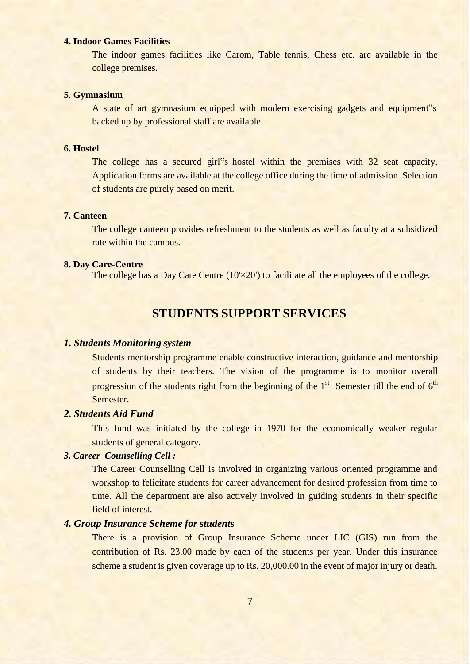#### **4. Indoor Games Facilities**

The indoor games facilities like Carom, Table tennis, Chess etc. are available in the college premises.

#### **5. Gymnasium**

A state of art gymnasium equipped with modern exercising gadgets and equipment"s backed up by professional staff are available.

#### **6. Hostel**

The college has a secured girl<sup>\*s</sup> hostel within the premises with 32 seat capacity. Application forms are available at the college office during the time of admission. Selection of students are purely based on merit.

#### **7. Canteen**

The college canteen provides refreshment to the students as well as faculty at a subsidized rate within the campus.

#### **8. Day Care-Centre**

The college has a Day Care Centre  $(10 \times 20')$  to facilitate all the employees of the college.

## **STUDENTS SUPPORT SERVICES**

#### *1. Students Monitoring system*

Students mentorship programme enable constructive interaction, guidance and mentorship of students by their teachers. The vision of the programme is to monitor overall progression of the students right from the beginning of the  $1<sup>st</sup>$  Semester till the end of  $6<sup>th</sup>$ Semester.

### *2. Students Aid Fund*

This fund was initiated by the college in 1970 for the economically weaker regular students of general category.

#### *3. Career Counselling Cell :*

The Career Counselling Cell is involved in organizing various oriented programme and workshop to felicitate students for career advancement for desired profession from time to time. All the department are also actively involved in guiding students in their specific field of interest.

#### *4. Group Insurance Scheme for students*

There is a provision of Group Insurance Scheme under LIC (GIS) run from the contribution of Rs. 23.00 made by each of the students per year. Under this insurance scheme a student is given coverage up to Rs. 20,000.00 in the event of major injury or death.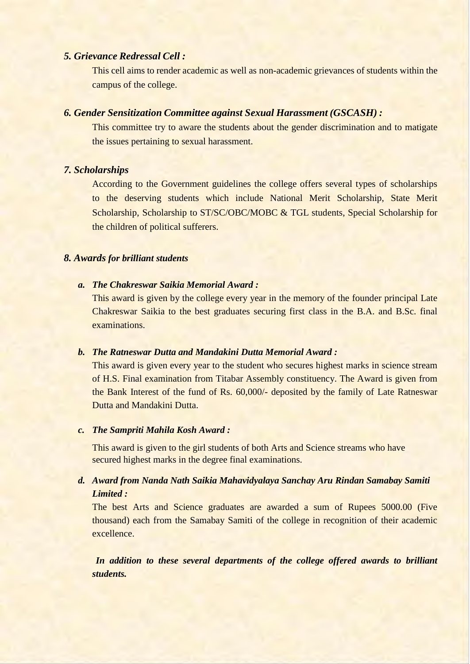#### *5. Grievance Redressal Cell :*

This cell aims to render academic as well as non-academic grievances of students within the campus of the college.

#### *6. Gender Sensitization Committee against Sexual Harassment (GSCASH) :*

This committee try to aware the students about the gender discrimination and to matigate the issues pertaining to sexual harassment.

#### *7. Scholarships*

According to the Government guidelines the college offers several types of scholarships to the deserving students which include National Merit Scholarship, State Merit Scholarship, Scholarship to ST/SC/OBC/MOBC & TGL students, Special Scholarship for the children of political sufferers.

### *8. Awards for brilliant students*

#### *a. The Chakreswar Saikia Memorial Award :*

This award is given by the college every year in the memory of the founder principal Late Chakreswar Saikia to the best graduates securing first class in the B.A. and B.Sc. final examinations.

### *b. The Ratneswar Dutta and Mandakini Dutta Memorial Award :*

This award is given every year to the student who secures highest marks in science stream of H.S. Final examination from Titabar Assembly constituency. The Award is given from the Bank Interest of the fund of Rs. 60,000/- deposited by the family of Late Ratneswar Dutta and Mandakini Dutta.

#### *c. The Sampriti Mahila Kosh Award :*

This award is given to the girl students of both Arts and Science streams who have secured highest marks in the degree final examinations.

### *d. Award from Nanda Nath Saikia Mahavidyalaya Sanchay Aru Rindan Samabay Samiti Limited :*

The best Arts and Science graduates are awarded a sum of Rupees 5000.00 (Five thousand) each from the Samabay Samiti of the college in recognition of their academic excellence.

*In addition to these several departments of the college offered awards to brilliant students.*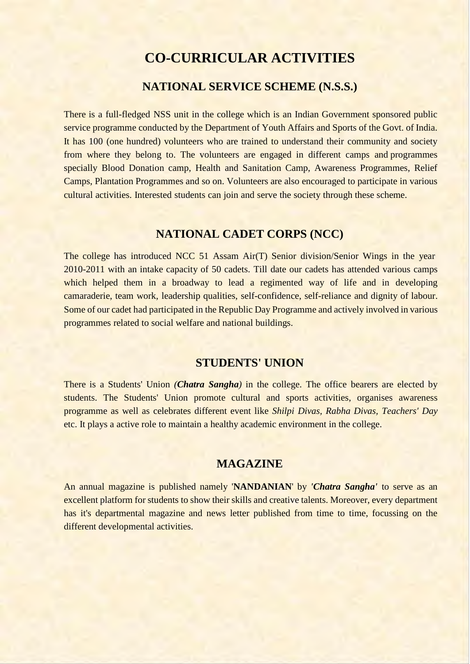# **CO-CURRICULAR ACTIVITIES**

# **NATIONAL SERVICE SCHEME (N.S.S.)**

There is a full-fledged NSS unit in the college which is an Indian Government sponsored public service programme conducted by the Department of Youth Affairs and Sports of the Govt. of India. It has 100 (one hundred) volunteers who are trained to understand their community and society from where they belong to. The volunteers are engaged in different camps and programmes specially Blood Donation camp, Health and Sanitation Camp, Awareness Programmes, Relief Camps, Plantation Programmes and so on. Volunteers are also encouraged to participate in various cultural activities. Interested students can join and serve the society through these scheme.

## **NATIONAL CADET CORPS (NCC)**

The college has introduced NCC 51 Assam Air(T) Senior division/Senior Wings in the year 2010-2011 with an intake capacity of 50 cadets. Till date our cadets has attended various camps which helped them in a broadway to lead a regimented way of life and in developing camaraderie, team work, leadership qualities, self-confidence, self-reliance and dignity of labour. Some of our cadet had participated in the Republic Day Programme and actively involved in various programmes related to social welfare and national buildings.

### **STUDENTS' UNION**

There is a Students' Union *(Chatra Sangha)* in the college. The office bearers are elected by students. The Students' Union promote cultural and sports activities, organises awareness programme as well as celebrates different event like *Shilpi Divas, Rabha Divas, Teachers' Day*  etc. It plays a active role to maintain a healthy academic environment in the college.

### **MAGAZINE**

An annual magazine is published namely '**NANDANIAN**' by *'Chatra Sangha'* to serve as an excellent platform for students to show their skills and creative talents. Moreover, every department has it's departmental magazine and news letter published from time to time, focussing on the different developmental activities.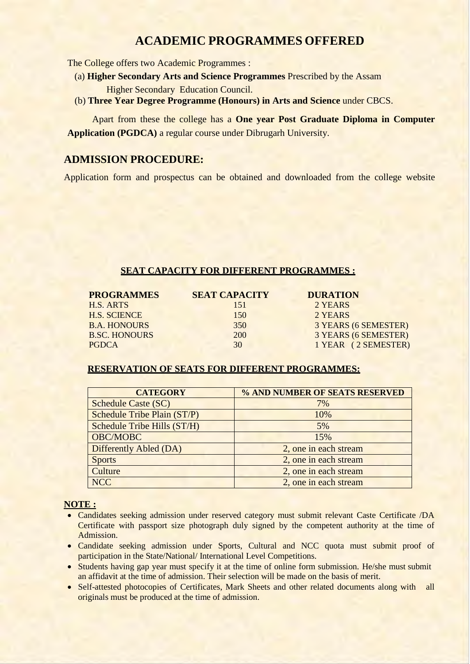# **ACADEMIC PROGRAMMES OFFERED**

The College offers two Academic Programmes :

- (a) **Higher Secondary Arts and Science Programmes** Prescribed by the Assam Higher Secondary Education Council.
- (b) **Three Year Degree Programme (Honours) in Arts and Science** under CBCS.

Apart from these the college has a **One year Post Graduate Diploma in Computer Application (PGDCA)** a regular course under Dibrugarh University.

### **ADMISSION PROCEDURE:**

Application form and prospectus can be obtained and downloaded from the college website

#### **SEAT CAPACITY FOR DIFFERENT PROGRAMMES :**

| <b>PROGRAMMES</b>    | <b>SEAT CAPACITY</b> | <b>DURATION</b>      |
|----------------------|----------------------|----------------------|
| H.S. ARTS            | 151                  | 2 YEARS              |
| <b>H.S. SCIENCE</b>  | 150                  | 2 YEARS              |
| <b>B.A. HONOURS</b>  | 350                  | 3 YEARS (6 SEMESTER) |
| <b>B.SC. HONOURS</b> | 200                  | 3 YEARS (6 SEMESTER) |
| <b>PGDCA</b>         | 30                   | 1 YEAR (2 SEMESTER)  |

#### **RESERVATION OF SEATS FOR DIFFERENT PROGRAMMES:**

| <b>CATEGORY</b>                    | % AND NUMBER OF SEATS RESERVED |
|------------------------------------|--------------------------------|
| <b>Schedule Caste (SC)</b>         | 7%                             |
| <b>Schedule Tribe Plain (ST/P)</b> | 10%                            |
| Schedule Tribe Hills (ST/H)        | 5%                             |
| OBC/MOBC                           | 15%                            |
| Differently Abled (DA)             | 2, one in each stream          |
| <b>Sports</b>                      | 2, one in each stream          |
| Culture                            | 2, one in each stream          |
| <b>NCC</b>                         | 2, one in each stream          |

#### **NOTE :**

- Candidates seeking admission under reserved category must submit relevant Caste Certificate /DA Certificate with passport size photograph duly signed by the competent authority at the time of Admission.
- Candidate seeking admission under Sports, Cultural and NCC quota must submit proof of participation in the State/National/ International Level Competitions.
- Students having gap year must specify it at the time of online form submission. He/she must submit an affidavit at the time of admission. Their selection will be made on the basis of merit.
- Self-attested photocopies of Certificates, Mark Sheets and other related documents along with all originals must be produced at the time of admission.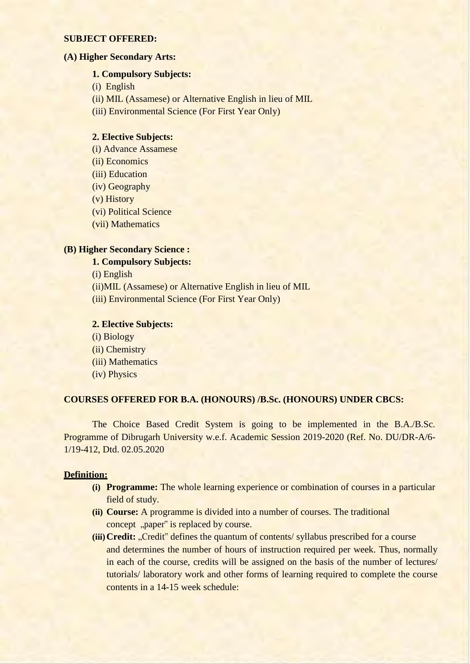#### **SUBJECT OFFERED:**

#### **(A) Higher Secondary Arts:**

#### **1. Compulsory Subjects:**

- (i) English
- (ii) MIL (Assamese) or Alternative English in lieu of MIL

(iii) Environmental Science (For First Year Only)

#### **2. Elective Subjects:**

- (i) Advance Assamese
- (ii) Economics
- (iii) Education
- (iv) Geography
- (v) History
- (vi) Political Science
- (vii) Mathematics

#### **(B) Higher Secondary Science :**

#### **1. Compulsory Subjects:**

(i) English

- (ii)MIL (Assamese) or Alternative English in lieu of MIL
- (iii) Environmental Science (For First Year Only)

#### **2. Elective Subjects:**

(i) Biology (ii) Chemistry (iii) Mathematics (iv) Physics

#### **COURSES OFFERED FOR B.A. (HONOURS) /B.Sc. (HONOURS) UNDER CBCS:**

The Choice Based Credit System is going to be implemented in the B.A./B.Sc. Programme of Dibrugarh University w.e.f. Academic Session 2019-2020 (Ref. No. DU/DR-A/6- 1/19-412, Dtd. 02.05.2020

#### **Definition:**

- **(i) Programme:** The whole learning experience or combination of courses in a particular field of study.
- **(ii) Course:** A programme is divided into a number of courses. The traditional concept "paper" is replaced by course.
- **(iii)** Credit: "Credit" defines the quantum of contents/ syllabus prescribed for a course and determines the number of hours of instruction required per week. Thus, normally in each of the course, credits will be assigned on the basis of the number of lectures/ tutorials/ laboratory work and other forms of learning required to complete the course contents in a 14-15 week schedule: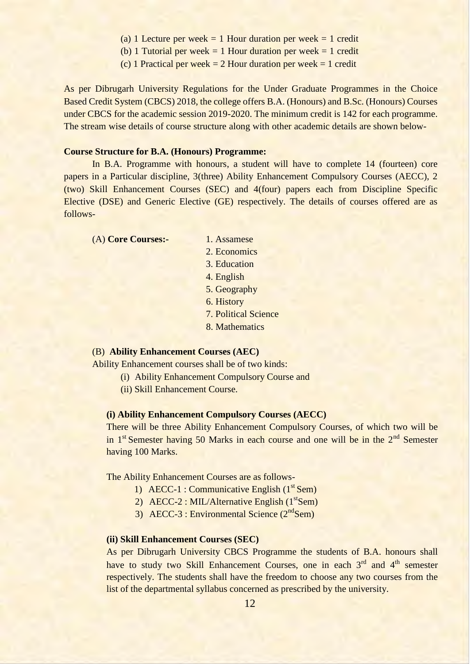- (a) 1 Lecture per week = 1 Hour duration per week = 1 credit
- (b) 1 Tutorial per week  $= 1$  Hour duration per week  $= 1$  credit
- (c) 1 Practical per week  $= 2$  Hour duration per week  $= 1$  credit

As per Dibrugarh University Regulations for the Under Graduate Programmes in the Choice Based Credit System (CBCS) 2018, the college offers B.A. (Honours) and B.Sc. (Honours) Courses under CBCS for the academic session 2019-2020. The minimum credit is 142 for each programme. The stream wise details of course structure along with other academic details are shown below-

#### **Course Structure for B.A. (Honours) Programme:**

In B.A. Programme with honours, a student will have to complete 14 (fourteen) core papers in a Particular discipline, 3(three) Ability Enhancement Compulsory Courses (AECC), 2 (two) Skill Enhancement Courses (SEC) and 4(four) papers each from Discipline Specific Elective (DSE) and Generic Elective (GE) respectively. The details of courses offered are as follows-

(A) **Core Courses:-** 1. Assamese

- 
- 2. Economics
- 3. Education
- 4. English
- 5. Geography
- 6. History
- 7. Political Science
- 8. Mathematics

#### (B) **Ability Enhancement Courses (AEC)**

Ability Enhancement courses shall be of two kinds:

- (i) Ability Enhancement Compulsory Course and
- (ii) Skill Enhancement Course.

#### **(i) Ability Enhancement Compulsory Courses (AECC)**

There will be three Ability Enhancement Compulsory Courses, of which two will be in  $1<sup>st</sup>$  Semester having 50 Marks in each course and one will be in the  $2<sup>nd</sup>$  Semester having 100 Marks.

The Ability Enhancement Courses are as follows-

- 1) AECC-1 : Communicative English (1<sup>st</sup> Sem)
- 2) AECC-2 : MIL/Alternative English (1<sup>st</sup>Sem)
- 3) AECC-3 : Environmental Science  $(2<sup>nd</sup>Sem)$

#### **(ii) Skill Enhancement Courses (SEC)**

As per Dibrugarh University CBCS Programme the students of B.A. honours shall have to study two Skill Enhancement Courses, one in each 3<sup>rd</sup> and 4<sup>th</sup> semester respectively. The students shall have the freedom to choose any two courses from the list of the departmental syllabus concerned as prescribed by the university.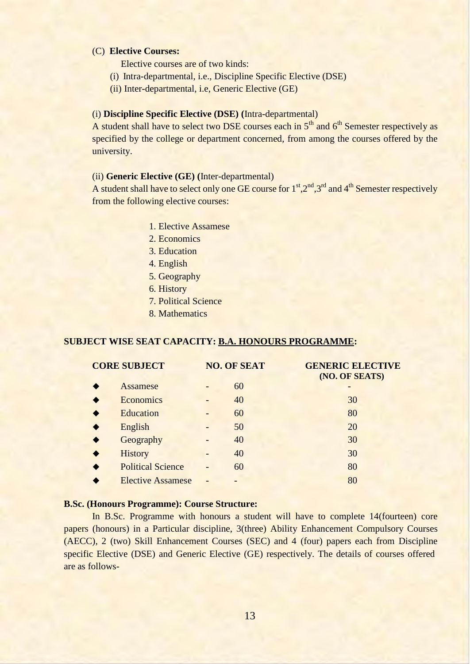#### (C) **Elective Courses:**

Elective courses are of two kinds:

- (i) Intra-departmental, i.e., Discipline Specific Elective (DSE)
- (ii) Inter-departmental, i.e, Generic Elective (GE)

#### (i) **Discipline Specific Elective (DSE) (**Intra-departmental)

A student shall have to select two DSE courses each in  $5<sup>th</sup>$  and  $6<sup>th</sup>$  Semester respectively as specified by the college or department concerned, from among the courses offered by the university.

#### (ii) **Generic Elective (GE) (**Inter-departmental)

A student shall have to select only one GE course for  $1<sup>st</sup>, 2<sup>nd</sup>, 3<sup>rd</sup>$  and  $4<sup>th</sup>$  Semester respectively from the following elective courses:

- 1. Elective Assamese
- 2. Economics
- 3. Education
- 4. English
- 5. Geography
- 6. History
- 7. Political Science
- 8. Mathematics

#### **SUBJECT WISE SEAT CAPACITY: B.A. HONOURS PROGRAMME:**

| <b>CORE SUBJECT</b>      | <b>NO. OF SEAT</b> | <b>GENERIC ELECTIVE</b><br>(NO. OF SEATS) |
|--------------------------|--------------------|-------------------------------------------|
| Assamese                 | 60                 |                                           |
| <b>Economics</b>         | 40                 | 30                                        |
| Education                | 60                 | 80                                        |
| English                  | 50                 | 20                                        |
| Geography                | 40                 | 30                                        |
| <b>History</b>           | 40                 | 30                                        |
| <b>Political Science</b> | 60                 | 80                                        |
| <b>Elective Assamese</b> |                    | 80                                        |

#### **B.Sc. (Honours Programme): Course Structure:**

In B.Sc. Programme with honours a student will have to complete 14(fourteen) core papers (honours) in a Particular discipline, 3(three) Ability Enhancement Compulsory Courses (AECC), 2 (two) Skill Enhancement Courses (SEC) and 4 (four) papers each from Discipline specific Elective (DSE) and Generic Elective (GE) respectively. The details of courses offered are as follows-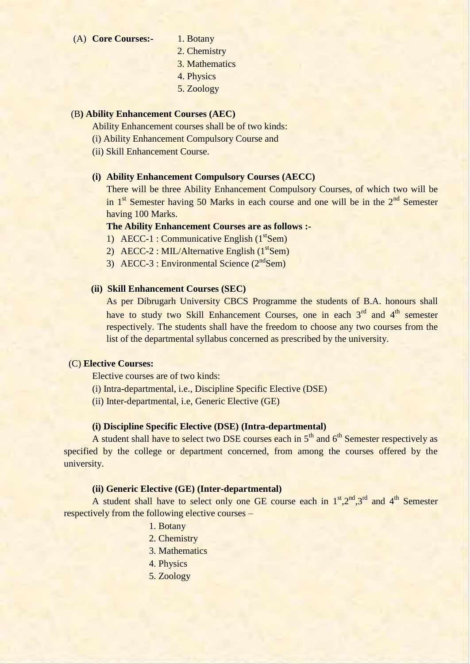- (A) **Core Courses:-** 1. Botany
	- 2. Chemistry
	- 3. Mathematics
	- 4. Physics
	- 5. Zoology

#### (B**) Ability Enhancement Courses (AEC)**

Ability Enhancement courses shall be of two kinds:

- (i) Ability Enhancement Compulsory Course and
- (ii) Skill Enhancement Course.

#### **(i) Ability Enhancement Compulsory Courses (AECC)**

There will be three Ability Enhancement Compulsory Courses, of which two will be in  $1<sup>st</sup>$  Semester having 50 Marks in each course and one will be in the  $2<sup>nd</sup>$  Semester having 100 Marks.

### **The Ability Enhancement Courses are as follows :-**

- 1) AECC-1 : Communicative English (1<sup>st</sup>Sem)
- 2) AECC-2 : MIL/Alternative English (1<sup>st</sup>Sem)
- 3) AECC-3 : Environmental Science  $(2<sup>nd</sup>Sem)$

#### **(ii) Skill Enhancement Courses (SEC)**

As per Dibrugarh University CBCS Programme the students of B.A. honours shall have to study two Skill Enhancement Courses, one in each 3<sup>rd</sup> and 4<sup>th</sup> semester respectively. The students shall have the freedom to choose any two courses from the list of the departmental syllabus concerned as prescribed by the university.

#### (C) **Elective Courses:**

Elective courses are of two kinds:

- (i) Intra-departmental, i.e., Discipline Specific Elective (DSE)
- (ii) Inter-departmental, i.e, Generic Elective (GE)

#### **(i) Discipline Specific Elective (DSE) (Intra-departmental)**

A student shall have to select two DSE courses each in  $5<sup>th</sup>$  and  $6<sup>th</sup>$  Semester respectively as specified by the college or department concerned, from among the courses offered by the university.

#### **(ii) Generic Elective (GE) (Inter-departmental)**

A student shall have to select only one GE course each in  $1<sup>st</sup>, 2<sup>nd</sup>, 3<sup>rd</sup>$  and  $4<sup>th</sup>$  Semester respectively from the following elective courses –

- 1. Botany
- 2. Chemistry
- 3. Mathematics
- 4. Physics
- 5. Zoology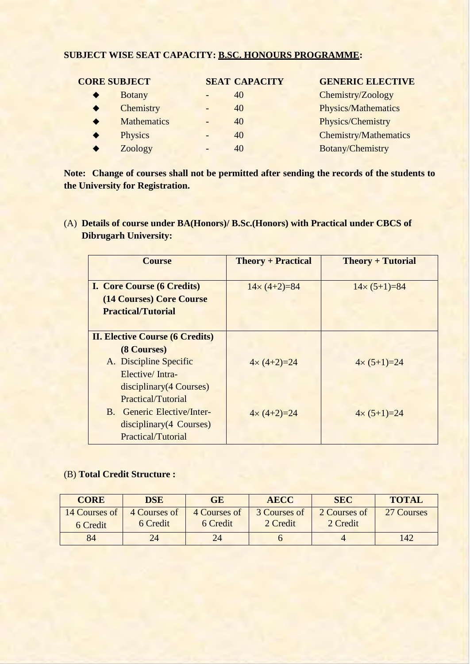## **SUBJECT WISE SEAT CAPACITY: B.SC. HONOURS PROGRAMME:**

| <b>CORE SUBJECT</b> |                    | <b>SEAT CAPACITY</b> | <b>GENERIC ELECTIVE</b>      |
|---------------------|--------------------|----------------------|------------------------------|
|                     | <b>Botany</b>      | 40                   | Chemistry/Zoology            |
|                     | Chemistry          | 40                   | <b>Physics/Mathematics</b>   |
|                     | <b>Mathematics</b> | 40                   | Physics/Chemistry            |
|                     | <b>Physics</b>     | 40                   | <b>Chemistry/Mathematics</b> |
|                     | Zoology            | 40                   | Botany/Chemistry             |

**Note: Change of courses shall not be permitted after sending the records of the students to the University for Registration.**

(A) **Details of course under BA(Honors)/ B.Sc.(Honors) with Practical under CBCS of Dibrugarh University:**

| <b>Course</b>                          | <b>Theory + Practical</b> | <b>Theory + Tutorial</b> |
|----------------------------------------|---------------------------|--------------------------|
| <b>I. Core Course (6 Credits)</b>      | $14 \times (4+2)=84$      | $14 \times (5+1)=84$     |
| (14 Courses) Core Course               |                           |                          |
| <b>Practical/Tutorial</b>              |                           |                          |
|                                        |                           |                          |
| <b>II. Elective Course (6 Credits)</b> |                           |                          |
| (8 Courses)                            |                           |                          |
| A. Discipline Specific                 | $4 \times (4 + 2) = 24$   | $4 \times (5 + 1) = 24$  |
| Elective/Intra-                        |                           |                          |
| disciplinary (4 Courses)               |                           |                          |
| <b>Practical/Tutorial</b>              |                           |                          |
| B. Generic Elective/Inter-             | $4 \times (4 + 2) = 24$   | $4 \times (5+1)=24$      |
| disciplinary (4 Courses)               |                           |                          |
| Practical/Tutorial                     |                           |                          |

#### (B) **Total Credit Structure :**

| <b>CORE</b>               | <b>DSE</b>               | GE                       | <b>AECC</b>              | <b>SEC</b>               | <b>TOTAL</b> |
|---------------------------|--------------------------|--------------------------|--------------------------|--------------------------|--------------|
| 14 Courses of<br>6 Credit | 4 Courses of<br>6 Credit | 4 Courses of<br>6 Credit | 3 Courses of<br>2 Credit | 2 Courses of<br>2 Credit | 27 Courses   |
| 84                        | 24                       | 24                       |                          |                          | 142          |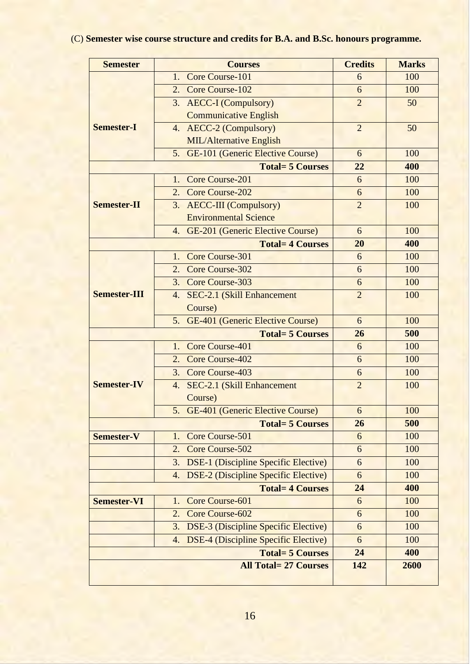# (C) **Semester wise course structure and credits for B.A. and B.Sc. honours programme.**

| <b>Semester</b>     | <b>Courses</b>                                                              | <b>Credits</b> | <b>Marks</b> |
|---------------------|-----------------------------------------------------------------------------|----------------|--------------|
|                     | Core Course-101<br>1.                                                       | 6              | 100          |
|                     | Core Course-102<br>2.                                                       | 6              | 100          |
|                     | 3. AECC-I (Compulsory)                                                      | $\overline{2}$ | 50           |
|                     | <b>Communicative English</b>                                                |                |              |
| <b>Semester-I</b>   | 4. AECC-2 (Compulsory)                                                      | $\overline{2}$ | 50           |
|                     | <b>MIL/Alternative English</b>                                              |                |              |
|                     | 5. GE-101 (Generic Elective Course)                                         | 6              | 100          |
|                     | 22                                                                          | 400            |              |
|                     | Core Course-201<br>$\mathbf{1}$ .                                           | 6              | 100          |
|                     | 2. Core Course-202                                                          | 6              | 100          |
| <b>Semester-II</b>  | 3. AECC-III (Compulsory)                                                    | $\overline{2}$ | 100          |
|                     | <b>Environmental Science</b>                                                |                |              |
|                     | 4. GE-201 (Generic Elective Course)                                         | 6              | 100          |
|                     | <b>Total= 4 Courses</b>                                                     | 20             | 400          |
|                     | Core Course-301<br>$\mathbf{1}$ .                                           | 6              | 100          |
|                     | <b>Core Course-302</b><br>2.                                                | 6              | 100          |
|                     | 3. Core Course-303                                                          | 6              | 100          |
| <b>Semester-III</b> | SEC-2.1 (Skill Enhancement<br>4.                                            | $\overline{2}$ | 100          |
|                     | Course)                                                                     |                |              |
|                     | 5. GE-401 (Generic Elective Course)                                         | 6              | 100          |
|                     | <b>Total= 5 Courses</b>                                                     | 26             | 500          |
|                     | Core Course-401<br>$\mathbf{1}$ .                                           | 6              | 100          |
|                     | <b>Core Course-402</b><br>2.                                                | 6              | 100          |
|                     | 3. Core Course-403                                                          | 6              | 100          |
| <b>Semester-IV</b>  | SEC-2.1 (Skill Enhancement<br>4.                                            | $\overline{2}$ | 100          |
|                     | Course)                                                                     |                |              |
|                     | 5. GE-401 (Generic Elective Course)                                         | 6              | 100          |
|                     | <b>Total= 5 Courses</b>                                                     | 26             | 500          |
| <b>Semester-V</b>   | Core Course-501<br>1.                                                       | 6              | 100          |
|                     | Core Course-502<br>2.                                                       | 6              | 100          |
|                     | <b>DSE-1</b> (Discipline Specific Elective)<br>3.                           | 6              | 100          |
|                     | <b>DSE-2</b> (Discipline Specific Elective)<br>4.<br><b>Total=4 Courses</b> | 6              | 100          |
|                     | 24                                                                          | 400            |              |
| <b>Semester-VI</b>  | Core Course-601<br>1.                                                       | 6              | 100          |
|                     | Core Course-602<br>2.                                                       | 6              | 100          |
|                     | <b>DSE-3</b> (Discipline Specific Elective)<br>3.                           | 6              | 100          |
|                     | <b>DSE-4 (Discipline Specific Elective)</b><br>4.                           | 6              | 100          |
|                     | <b>Total= 5 Courses</b>                                                     | 24             | 400          |
|                     | <b>All Total= 27 Courses</b>                                                | 142            | 2600         |
|                     |                                                                             |                |              |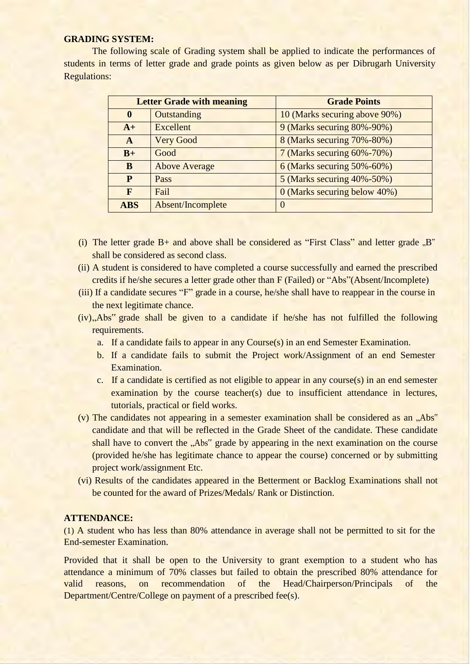#### **GRADING SYSTEM:**

The following scale of Grading system shall be applied to indicate the performances of students in terms of letter grade and grade points as given below as per Dibrugarh University Regulations:

|                   | <b>Letter Grade with meaning</b> | <b>Grade Points</b>               |  |
|-------------------|----------------------------------|-----------------------------------|--|
| $\bf{0}$          | Outstanding                      | 10 (Marks securing above 90%)     |  |
| Excellent<br>$A+$ |                                  | 9 (Marks securing 80%-90%)        |  |
| A                 | <b>Very Good</b>                 | 8 (Marks securing 70%-80%)        |  |
| $B+$              | Good                             | 7 (Marks securing $60\% - 70\%$ ) |  |
| B                 | <b>Above Average</b>             | $6$ (Marks securing 50%-60%)      |  |
| P                 | Pass                             | 5 (Marks securing $40\% - 50\%$ ) |  |
| F                 | Fail                             | 0 (Marks securing below 40%)      |  |
| <b>ABS</b>        | Absent/Incomplete                | $\theta$                          |  |

- (i) The letter grade  $B+$  and above shall be considered as "First Class" and letter grade  $B<sup>''</sup>$ shall be considered as second class.
- (ii) A student is considered to have completed a course successfully and earned the prescribed credits if he/she secures a letter grade other than F (Failed) or "Abs"(Absent/Incomplete)
- (iii) If a candidate secures "F" grade in a course, he/she shall have to reappear in the course in the next legitimate chance.
- $(iv)$ , Abs<sup>\*\*</sup> grade shall be given to a candidate if he/she has not fulfilled the following requirements.
	- a. If a candidate fails to appear in any Course(s) in an end Semester Examination.
	- b. If a candidate fails to submit the Project work/Assignment of an end Semester Examination.
	- c. If a candidate is certified as not eligible to appear in any course(s) in an end semester examination by the course teacher(s) due to insufficient attendance in lectures, tutorials, practical or field works.
- (v) The candidates not appearing in a semester examination shall be considered as an "Abs" candidate and that will be reflected in the Grade Sheet of the candidate. These candidate shall have to convert the "Abs" grade by appearing in the next examination on the course (provided he/she has legitimate chance to appear the course) concerned or by submitting project work/assignment Etc.
- (vi) Results of the candidates appeared in the Betterment or Backlog Examinations shall not be counted for the award of Prizes/Medals/ Rank or Distinction.

#### **ATTENDANCE:**

(1) A student who has less than 80% attendance in average shall not be permitted to sit for the End-semester Examination.

Provided that it shall be open to the University to grant exemption to a student who has attendance a minimum of 70% classes but failed to obtain the prescribed 80% attendance for valid reasons, on recommendation of the Head/Chairperson/Principals of the Department/Centre/College on payment of a prescribed fee(s).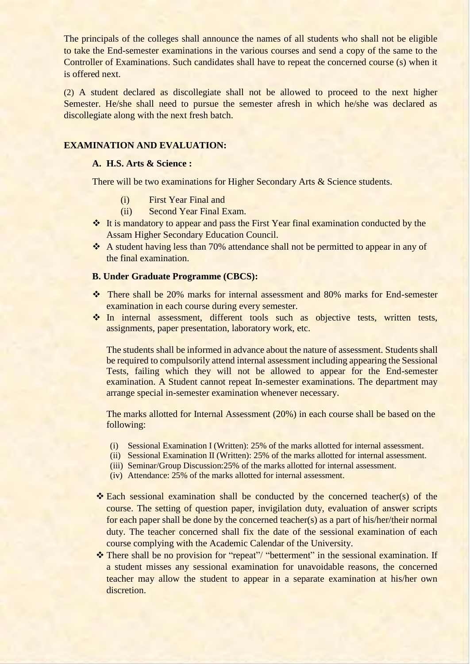The principals of the colleges shall announce the names of all students who shall not be eligible to take the End-semester examinations in the various courses and send a copy of the same to the Controller of Examinations. Such candidates shall have to repeat the concerned course (s) when it is offered next.

(2) A student declared as discollegiate shall not be allowed to proceed to the next higher Semester. He/she shall need to pursue the semester afresh in which he/she was declared as discollegiate along with the next fresh batch.

#### **EXAMINATION AND EVALUATION:**

#### **A. H.S. Arts & Science :**

There will be two examinations for Higher Secondary Arts & Science students.

- (i) First Year Final and
- (ii) Second Year Final Exam.
- ❖ It is mandatory to appear and pass the First Year final examination conducted by the Assam Higher Secondary Education Council.
- ❖ A student having less than 70% attendance shall not be permitted to appear in any of the final examination.

#### **B. Under Graduate Programme (CBCS):**

- ❖ There shall be 20% marks for internal assessment and 80% marks for End-semester examination in each course during every semester.
- ❖ In internal assessment, different tools such as objective tests, written tests, assignments, paper presentation, laboratory work, etc.

The students shall be informed in advance about the nature of assessment. Students shall be required to compulsorily attend internal assessment including appearing the Sessional Tests, failing which they will not be allowed to appear for the End-semester examination. A Student cannot repeat In-semester examinations. The department may arrange special in-semester examination whenever necessary.

The marks allotted for Internal Assessment (20%) in each course shall be based on the following:

- (i) Sessional Examination I (Written): 25% of the marks allotted for internal assessment.
- (ii) Sessional Examination II (Written): 25% of the marks allotted for internal assessment.
- (iii) Seminar/Group Discussion:25% of the marks allotted for internal assessment.
- (iv) Attendance: 25% of the marks allotted for internal assessment.
- ❖ Each sessional examination shall be conducted by the concerned teacher(s) of the course. The setting of question paper, invigilation duty, evaluation of answer scripts for each paper shall be done by the concerned teacher(s) as a part of his/her/their normal duty. The teacher concerned shall fix the date of the sessional examination of each course complying with the Academic Calendar of the University.
- ❖ There shall be no provision for "repeat"/ "betterment" in the sessional examination. If a student misses any sessional examination for unavoidable reasons, the concerned teacher may allow the student to appear in a separate examination at his/her own discretion.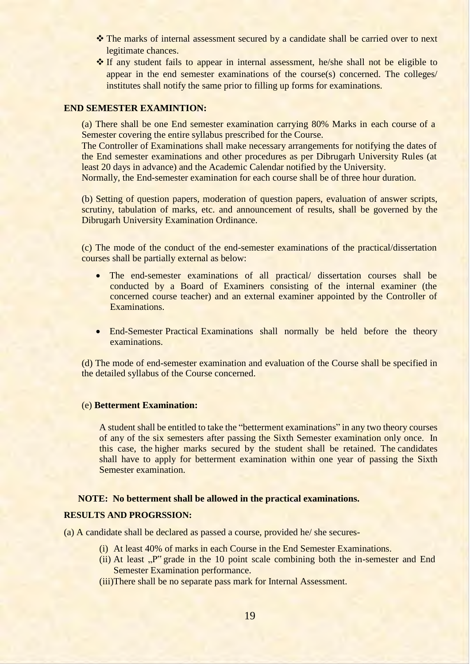- ❖ The marks of internal assessment secured by a candidate shall be carried over to next legitimate chances.
- ❖ If any student fails to appear in internal assessment, he/she shall not be eligible to appear in the end semester examinations of the course(s) concerned. The colleges/ institutes shall notify the same prior to filling up forms for examinations.

#### **END SEMESTER EXAMINTION:**

(a) There shall be one End semester examination carrying 80% Marks in each course of a Semester covering the entire syllabus prescribed for the Course.

The Controller of Examinations shall make necessary arrangements for notifying the dates of the End semester examinations and other procedures as per Dibrugarh University Rules (at least 20 days in advance) and the Academic Calendar notified by the University.

Normally, the End-semester examination for each course shall be of three hour duration.

(b) Setting of question papers, moderation of question papers, evaluation of answer scripts, scrutiny, tabulation of marks, etc. and announcement of results, shall be governed by the Dibrugarh University Examination Ordinance.

(c) The mode of the conduct of the end-semester examinations of the practical/dissertation courses shall be partially external as below:

- The end-semester examinations of all practical/ dissertation courses shall be conducted by a Board of Examiners consisting of the internal examiner (the concerned course teacher) and an external examiner appointed by the Controller of Examinations.
- End-Semester Practical Examinations shall normally be held before the theory examinations.

(d) The mode of end-semester examination and evaluation of the Course shall be specified in the detailed syllabus of the Course concerned.

#### (e) **Betterment Examination:**

A student shall be entitled to take the "betterment examinations" in any two theory courses of any of the six semesters after passing the Sixth Semester examination only once. In this case, the higher marks secured by the student shall be retained. The candidates shall have to apply for betterment examination within one year of passing the Sixth Semester examination.

#### **NOTE: No betterment shall be allowed in the practical examinations.**

#### **RESULTS AND PROGRSSION:**

(a) A candidate shall be declared as passed a course, provided he/ she secures-

- (i) At least 40% of marks in each Course in the End Semester Examinations.
- (ii) At least  $P''$  grade in the 10 point scale combining both the in-semester and End Semester Examination performance.
- (iii)There shall be no separate pass mark for Internal Assessment.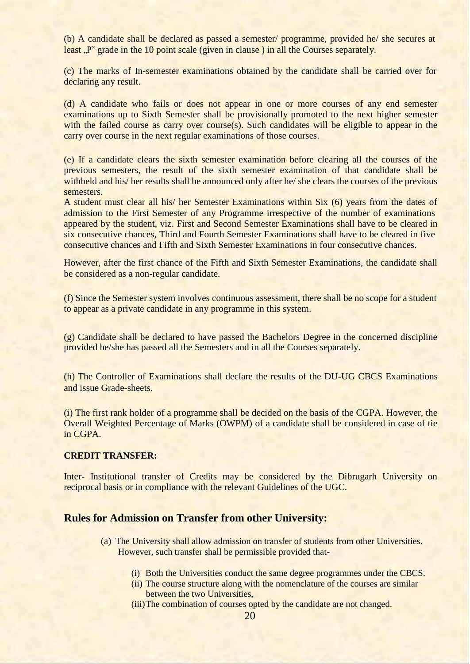(b) A candidate shall be declared as passed a semester/ programme, provided he/ she secures at least  $\mathbb{R}^n$  grade in the 10 point scale (given in clause) in all the Courses separately.

(c) The marks of In-semester examinations obtained by the candidate shall be carried over for declaring any result.

(d) A candidate who fails or does not appear in one or more courses of any end semester examinations up to Sixth Semester shall be provisionally promoted to the next higher semester with the failed course as carry over course(s). Such candidates will be eligible to appear in the carry over course in the next regular examinations of those courses.

(e) If a candidate clears the sixth semester examination before clearing all the courses of the previous semesters, the result of the sixth semester examination of that candidate shall be withheld and his/ her results shall be announced only after he/ she clears the courses of the previous semesters.

A student must clear all his/ her Semester Examinations within Six (6) years from the dates of admission to the First Semester of any Programme irrespective of the number of examinations appeared by the student, viz. First and Second Semester Examinations shall have to be cleared in six consecutive chances, Third and Fourth Semester Examinations shall have to be cleared in five consecutive chances and Fifth and Sixth Semester Examinations in four consecutive chances.

However, after the first chance of the Fifth and Sixth Semester Examinations, the candidate shall be considered as a non-regular candidate.

(f) Since the Semester system involves continuous assessment, there shall be no scope for a student to appear as a private candidate in any programme in this system.

(g) Candidate shall be declared to have passed the Bachelors Degree in the concerned discipline provided he/she has passed all the Semesters and in all the Courses separately.

(h) The Controller of Examinations shall declare the results of the DU-UG CBCS Examinations and issue Grade-sheets.

(i) The first rank holder of a programme shall be decided on the basis of the CGPA. However, the Overall Weighted Percentage of Marks (OWPM) of a candidate shall be considered in case of tie in CGPA.

#### **CREDIT TRANSFER:**

Inter- Institutional transfer of Credits may be considered by the Dibrugarh University on reciprocal basis or in compliance with the relevant Guidelines of the UGC.

### **Rules for Admission on Transfer from other University:**

- (a) The University shall allow admission on transfer of students from other Universities. However, such transfer shall be permissible provided that-
	- (i) Both the Universities conduct the same degree programmes under the CBCS.
	- (ii) The course structure along with the nomenclature of the courses are similar between the two Universities,

(iii)The combination of courses opted by the candidate are not changed.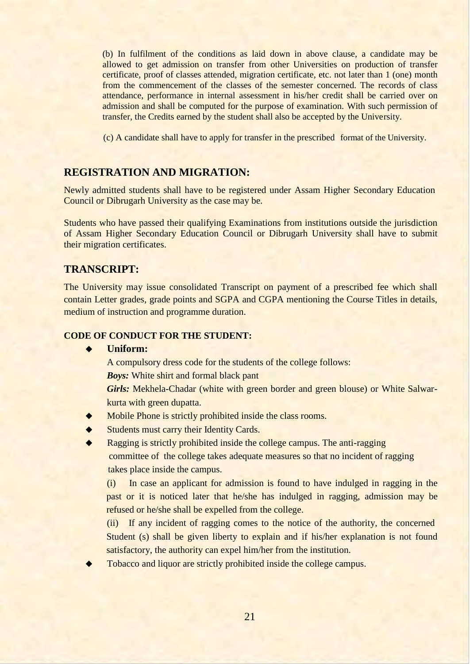(b) In fulfilment of the conditions as laid down in above clause, a candidate may be allowed to get admission on transfer from other Universities on production of transfer certificate, proof of classes attended, migration certificate, etc. not later than 1 (one) month from the commencement of the classes of the semester concerned. The records of class attendance, performance in internal assessment in his/her credit shall be carried over on admission and shall be computed for the purpose of examination. With such permission of transfer, the Credits earned by the student shall also be accepted by the University.

(c) A candidate shall have to apply for transfer in the prescribed format of the University.

### **REGISTRATION AND MIGRATION:**

Newly admitted students shall have to be registered under Assam Higher Secondary Education Council or Dibrugarh University as the case may be.

Students who have passed their qualifying Examinations from institutions outside the jurisdiction of Assam Higher Secondary Education Council or Dibrugarh University shall have to submit their migration certificates.

### **TRANSCRIPT:**

The University may issue consolidated Transcript on payment of a prescribed fee which shall contain Letter grades, grade points and SGPA and CGPA mentioning the Course Titles in details, medium of instruction and programme duration.

#### **CODE OF CONDUCT FOR THE STUDENT:**

#### ◆ **Uniform:**

A compulsory dress code for the students of the college follows:

*Boys:* White shirt and formal black pant

*Girls:* Mekhela-Chadar (white with green border and green blouse) or White Salwarkurta with green dupatta.

- Mobile Phone is strictly prohibited inside the class rooms.
- Students must carry their Identity Cards.

Ragging is strictly prohibited inside the college campus. The anti-ragging committee of the college takes adequate measures so that no incident of ragging takes place inside the campus.

(i) In case an applicant for admission is found to have indulged in ragging in the past or it is noticed later that he/she has indulged in ragging, admission may be refused or he/she shall be expelled from the college.

(ii) If any incident of ragging comes to the notice of the authority, the concerned Student (s) shall be given liberty to explain and if his/her explanation is not found satisfactory, the authority can expel him/her from the institution.

Tobacco and liquor are strictly prohibited inside the college campus.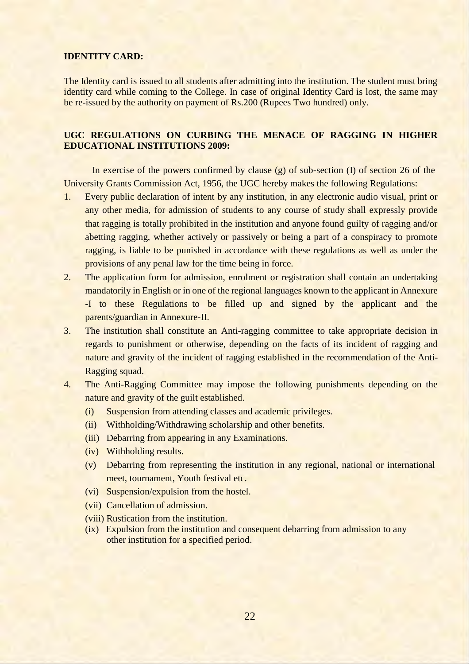#### **IDENTITY CARD:**

The Identity card is issued to all students after admitting into the institution. The student must bring identity card while coming to the College. In case of original Identity Card is lost, the same may be re-issued by the authority on payment of Rs.200 (Rupees Two hundred) only.

#### **UGC REGULATIONS ON CURBING THE MENACE OF RAGGING IN HIGHER EDUCATIONAL INSTITUTIONS 2009:**

In exercise of the powers confirmed by clause  $(g)$  of sub-section  $(I)$  of section 26 of the University Grants Commission Act, 1956, the UGC hereby makes the following Regulations:

- 1. Every public declaration of intent by any institution, in any electronic audio visual, print or any other media, for admission of students to any course of study shall expressly provide that ragging is totally prohibited in the institution and anyone found guilty of ragging and/or abetting ragging, whether actively or passively or being a part of a conspiracy to promote ragging, is liable to be punished in accordance with these regulations as well as under the provisions of any penal law for the time being in force.
- 2. The application form for admission, enrolment or registration shall contain an undertaking mandatorily in English or in one of the regional languages known to the applicant in Annexure -I to these Regulations to be filled up and signed by the applicant and the parents/guardian in Annexure-II.
- 3. The institution shall constitute an Anti-ragging committee to take appropriate decision in regards to punishment or otherwise, depending on the facts of its incident of ragging and nature and gravity of the incident of ragging established in the recommendation of the Anti-Ragging squad.
- 4. The Anti-Ragging Committee may impose the following punishments depending on the nature and gravity of the guilt established.
	- (i) Suspension from attending classes and academic privileges.
	- (ii) Withholding/Withdrawing scholarship and other benefits.
	- (iii) Debarring from appearing in any Examinations.
	- (iv) Withholding results.
	- (v) Debarring from representing the institution in any regional, national or international meet, tournament, Youth festival etc.
	- (vi) Suspension/expulsion from the hostel.
	- (vii) Cancellation of admission.
	- (viii) Rustication from the institution.
	- (ix) Expulsion from the institution and consequent debarring from admission to any other institution for a specified period.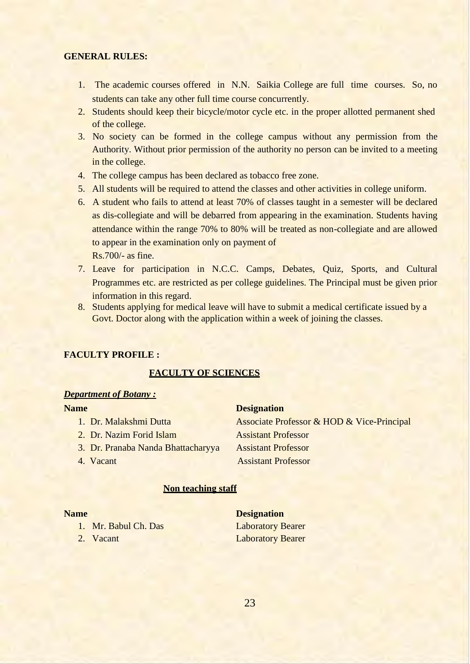### **GENERAL RULES:**

- 1. The academic courses offered in N.N. Saikia College are full time courses. So, no students can take any other full time course concurrently.
- 2. Students should keep their bicycle/motor cycle etc. in the proper allotted permanent shed of the college.
- 3. No society can be formed in the college campus without any permission from the Authority. Without prior permission of the authority no person can be invited to a meeting in the college.
- 4. The college campus has been declared as tobacco free zone.
- 5. All students will be required to attend the classes and other activities in college uniform.
- 6. A student who fails to attend at least 70% of classes taught in a semester will be declared as dis-collegiate and will be debarred from appearing in the examination. Students having attendance within the range 70% to 80% will be treated as non-collegiate and are allowed to appear in the examination only on payment of Rs.700/- as fine.
- 7. Leave for participation in N.C.C. Camps, Debates, Quiz, Sports, and Cultural Programmes etc. are restricted as per college guidelines. The Principal must be given prior information in this regard.
- 8. Students applying for medical leave will have to submit a medical certificate issued by a Govt. Doctor along with the application within a week of joining the classes.

#### **FACULTY PROFILE :**

#### **FACULTY OF SCIENCES**

#### *Department of Botany :*

| <b>Name</b>                        | <b>Designation</b>                         |
|------------------------------------|--------------------------------------------|
| 1. Dr. Malakshmi Dutta             | Associate Professor & HOD & Vice-Principal |
| 2. Dr. Nazim Forid Islam           | <b>Assistant Professor</b>                 |
| 3. Dr. Pranaba Nanda Bhattacharyya | <b>Assistant Professor</b>                 |
| 4. Vacant                          | <b>Assistant Professor</b>                 |
|                                    |                                            |

#### **Non teaching staff**

- 1. Mr. Babul Ch. Das Laboratory Bearer
- 

**Name** Designation 2. Vacant Laboratory Bearer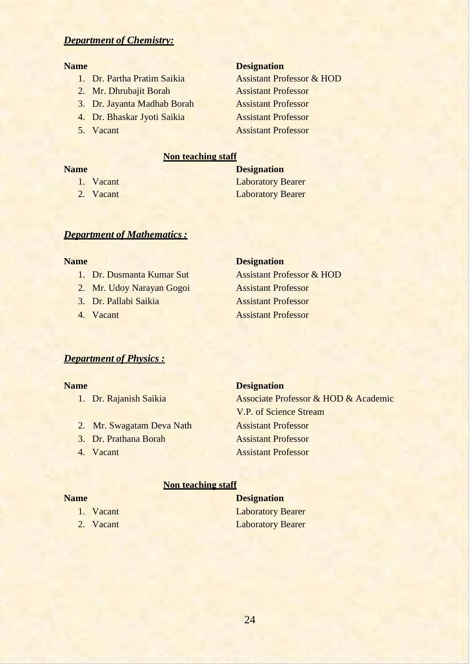### *Department of Chemistry:*

- 
- 2. Mr. Dhrubajit Borah Assistant Professor

3. Dr. Jayanta Madhab Borah Assistant Professor

- 4. Dr. Bhaskar Jyoti Saikia Assistant Professor
- 

#### **Name** Designation

1. Dr. Partha Pratim Saikia Assistant Professor & HOD 5. Vacant Assistant Professor

### **Non teaching staff**

| <b>Name</b> | <b>Designation</b>       |  |
|-------------|--------------------------|--|
| 1. Vacant   | <b>Laboratory Bearer</b> |  |
| 2. Vacant   | <b>Laboratory Bearer</b> |  |

#### *Department of Mathematics:*

- 
- 2. Mr. Udoy Narayan Gogoi Assistant Professor
- 
- 

#### **Name** Designation

1. Dr. Dusmanta Kumar Sut Assistant Professor & HOD 3. Dr. Pallabi Saikia Assistant Professor 4. Vacant **Assistant Professor** 

#### *Department of Physics :*

- 
- 2. Mr. Swagatam Deva Nath Assistant Professor
- 
- 

#### **Name** Designation

1. Dr. Rajanish Saikia Associate Professor & HOD & Academic V.P. of Science Stream 3. Dr. Prathana Borah Assistant Professor 4. Vacant Assistant Professor

#### **Non teaching staff**

- 
- 

**Name** Designation 1. Vacant Laboratory Bearer 2. Vacant Laboratory Bearer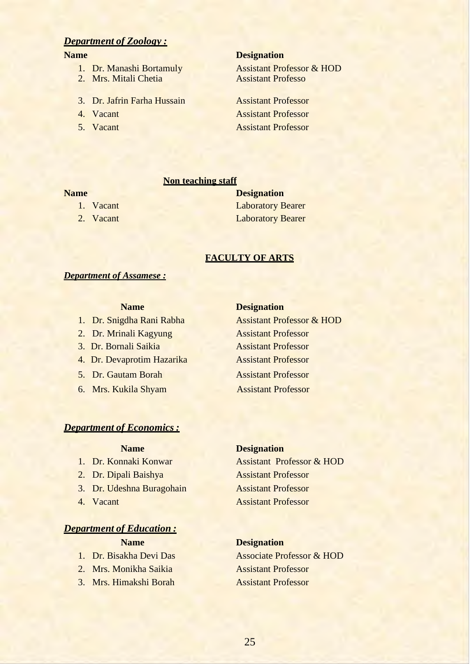### *Department of Zoology :*

- 
- 2. Mrs. Mitali Chetia **Assistant Professo**
- 3. Dr. Jafrin Farha Hussain Assistant Professor
- 
- 

#### **Name** Designation

1. Dr. Manashi Bortamuly Assistant Professor & HOD

4. Vacant Assistant Professor 5. Vacant Assistant Professor

#### **Non teaching staff**

- 
- 

### **Name Designation** 1. Vacant Laboratory Bearer 2. Vacant Laboratory Bearer

#### **FACULTY OF ARTS**

#### *Department of Assamese :*

- 2. Dr. Mrinali Kagyung Assistant Professor
- 3. Dr. Bornali Saikia Assistant Professor
- 4. Dr. Devaprotim Hazarika Assistant Professor
- 5. Dr. Gautam Borah Assistant Professor
- 6. Mrs. Kukila Shyam Assistant Professor

#### **Name** Designation

1. Dr. Snigdha Rani Rabha Assistant Professor & HOD

#### *Department of Economics :*

- 
- 
- 3. Dr. Udeshna Buragohain **Assistant Professor**
- 

#### *Department of Education :*

- 
- 
- 3. Mrs. Himakshi Borah Assistant Professor

### **Name Designation**

1. Dr. Konnaki Konwar Assistant Professor & HOD 2. Dr. Dipali Baishya Assistant Professor 4. Vacant Assistant Professor

#### **Name Designation**

1. Dr. Bisakha Devi Das Associate Professor & HOD 2. Mrs. Monikha Saikia Assistant Professor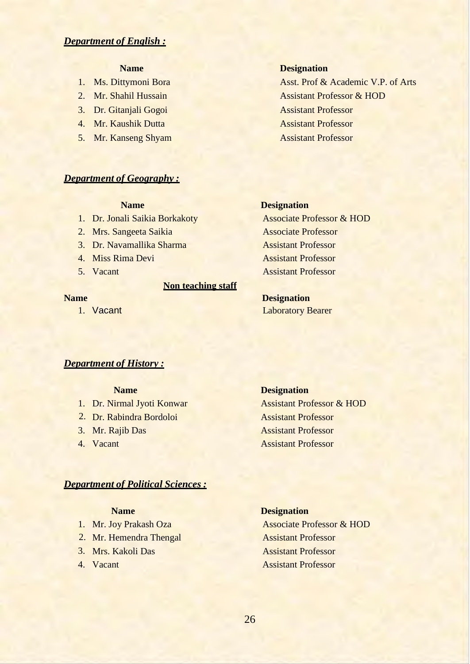#### *Department of English :*

- 
- 
- 
- 
- 

#### *Department of Geography :*

- 
- 
- 3. Dr. Navamallika Sharma Assistant Professor
- 
- 

#### **Non teaching staff**

#### **Name Designation**

1. Ms. Dittymoni Bora Asst. Prof & Academic V.P. of Arts 2. Mr. Shahil Hussain Assistant Professor & HOD 3. Dr. Gitanjali Gogoi Assistant Professor 4. Mr. Kaushik Dutta **Assistant Professor** 5. Mr. Kanseng Shyam Assistant Professor

#### **Name Designation**

1. Dr. Jonali Saikia Borkakoty Associate Professor & HOD 2. Mrs. Sangeeta Saikia Associate Professor 4. Miss Rima Devi Assistant Professor 5. Vacant Assistant Professor

**Name** Designation 1. Vacant Laboratory Bearer

#### *Department of History :*

- 
- 2. Dr. Rabindra Bordoloi Assistant Professor
- 3. Mr. Raiib Das
- 4. Vacant

#### **Name Designation**

1. Dr. Nirmal Jyoti Konwar Assistant Professor & HOD **Assistant Professor Assistant Professor** 

#### *Department of Political Sciences :*

- 
- 2. Mr. Hemendra Thengal Assistant Professor
- 
- 

#### **Name Designation**

1. Mr. Joy Prakash Oza Associate Professor & HOD 3. Mrs. Kakoli Das Assistant Professor 4. Vacant **Assistant Professor**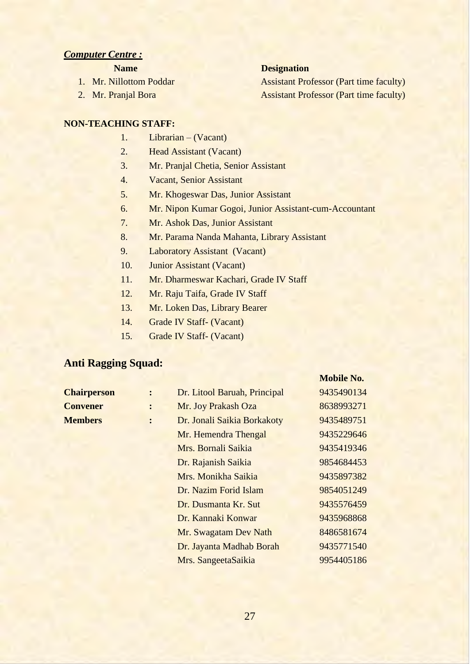#### *Computer Centre :*

- 
- 

### **Name Designation**

1. Mr. Nillottom Poddar **Assistant Professor (Part time faculty)** 2. Mr. Pranjal Bora Assistant Professor (Part time faculty)

**Mobile No.**

#### **NON-TEACHING STAFF:**

- 1. Librarian (Vacant)
- 2. Head Assistant (Vacant)
- 3. Mr. Pranjal Chetia, Senior Assistant
- 4. Vacant, Senior Assistant
- 5. Mr. Khogeswar Das, Junior Assistant
- 6. Mr. Nipon Kumar Gogoi, Junior Assistant-cum-Accountant
- 7. Mr. Ashok Das, Junior Assistant
- 8. Mr. Parama Nanda Mahanta, Library Assistant
- 9. Laboratory Assistant (Vacant)
- 10. Junior Assistant (Vacant)
- 11. Mr. Dharmeswar Kachari, Grade IV Staff
- 12. Mr. Raju Taifa, Grade IV Staff
- 13. Mr. Loken Das, Library Bearer
- 14. Grade IV Staff- (Vacant)
- 15. Grade IV Staff- (Vacant)

## **Anti Ragging Squad:**

| <b>Chairperson</b> |                | Dr. Litool Baruah, Principal | 9435490134 |
|--------------------|----------------|------------------------------|------------|
| <b>Convener</b>    | $\ddot{\cdot}$ | Mr. Joy Prakash Oza          | 8638993271 |
| <b>Members</b>     | $\ddot{\cdot}$ | Dr. Jonali Saikia Borkakoty  | 9435489751 |
|                    |                | Mr. Hemendra Thengal         | 9435229646 |
|                    |                | Mrs. Bornali Saikia          | 9435419346 |
|                    |                | Dr. Rajanish Saikia          | 9854684453 |
|                    |                | Mrs. Monikha Saikia          | 9435897382 |
|                    |                | Dr. Nazim Forid Islam        | 9854051249 |
|                    |                | Dr. Dusmanta Kr. Sut         | 9435576459 |
|                    |                | Dr. Kannaki Konwar           | 9435968868 |
|                    |                | Mr. Swagatam Dev Nath        | 8486581674 |
|                    |                | Dr. Jayanta Madhab Borah     | 9435771540 |
|                    |                | Mrs. SangeetaSaikia          | 9954405186 |